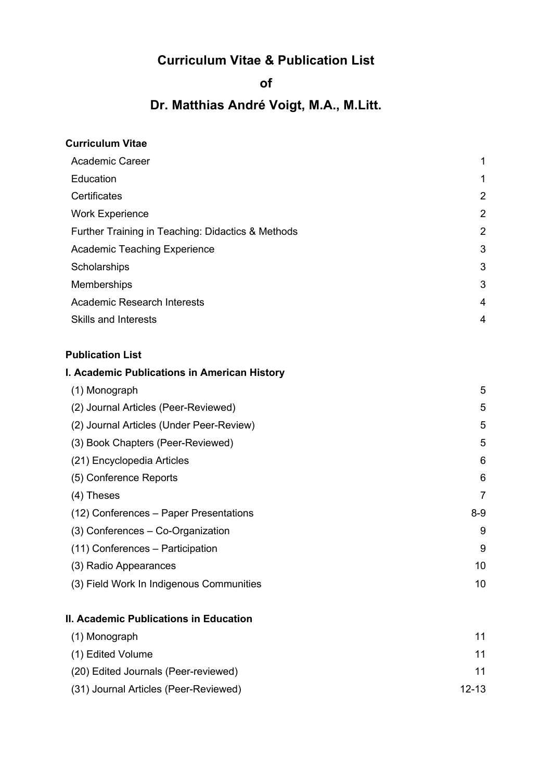## **Curriculum Vitae & Publication List**

## **of**

# **Dr. Matthias André Voigt, M.A., M.Litt.**

| 1              |
|----------------|
| 2              |
| $\overline{2}$ |
| 2              |
| 3              |
| 3              |
| 3              |
| $\overline{4}$ |
| 4              |
|                |

## **Publication List**

## **I. Academic Publications in American History**

| (1) Monograph                            | 5       |
|------------------------------------------|---------|
| (2) Journal Articles (Peer-Reviewed)     | 5       |
| (2) Journal Articles (Under Peer-Review) | 5       |
| (3) Book Chapters (Peer-Reviewed)        | 5       |
| (21) Encyclopedia Articles               | 6       |
| (5) Conference Reports                   | 6       |
| (4) Theses                               | 7       |
| (12) Conferences – Paper Presentations   | $8 - 9$ |
| (3) Conferences - Co-Organization        | 9       |
| (11) Conferences – Participation         | 9       |
| (3) Radio Appearances                    | 10      |
| (3) Field Work In Indigenous Communities | 10      |

#### **II. Academic Publications in Education**

| (1) Monograph                         | 11        |
|---------------------------------------|-----------|
| (1) Edited Volume                     | 11        |
| (20) Edited Journals (Peer-reviewed)  | 11        |
| (31) Journal Articles (Peer-Reviewed) | $12 - 13$ |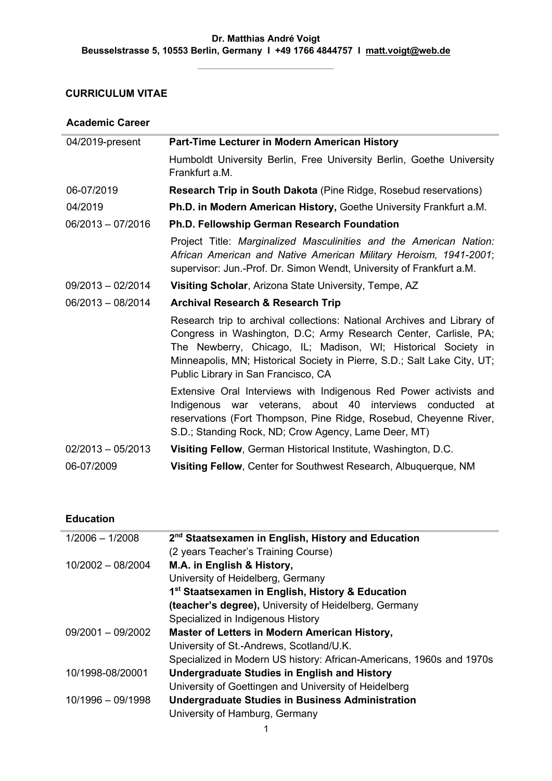## **CURRICULUM VITAE**

#### **Academic Career**

í,

| 04/2019-present     | Part-Time Lecturer in Modern American History                                                                                                                                                                                                                                                                                   |
|---------------------|---------------------------------------------------------------------------------------------------------------------------------------------------------------------------------------------------------------------------------------------------------------------------------------------------------------------------------|
|                     | Humboldt University Berlin, Free University Berlin, Goethe University<br>Frankfurt a.M.                                                                                                                                                                                                                                         |
| 06-07/2019          | <b>Research Trip in South Dakota</b> (Pine Ridge, Rosebud reservations)                                                                                                                                                                                                                                                         |
| 04/2019             | Ph.D. in Modern American History, Goethe University Frankfurt a.M.                                                                                                                                                                                                                                                              |
| $06/2013 - 07/2016$ | Ph.D. Fellowship German Research Foundation                                                                                                                                                                                                                                                                                     |
|                     | Project Title: Marginalized Masculinities and the American Nation:<br>African American and Native American Military Heroism, 1941-2001;<br>supervisor: Jun.-Prof. Dr. Simon Wendt, University of Frankfurt a.M.                                                                                                                 |
| $09/2013 - 02/2014$ | Visiting Scholar, Arizona State University, Tempe, AZ                                                                                                                                                                                                                                                                           |
| $06/2013 - 08/2014$ | <b>Archival Research &amp; Research Trip</b>                                                                                                                                                                                                                                                                                    |
|                     | Research trip to archival collections: National Archives and Library of<br>Congress in Washington, D.C; Army Research Center, Carlisle, PA;<br>The Newberry, Chicago, IL; Madison, WI; Historical Society in<br>Minneapolis, MN; Historical Society in Pierre, S.D.; Salt Lake City, UT;<br>Public Library in San Francisco, CA |
|                     | Extensive Oral Interviews with Indigenous Red Power activists and<br>Indigenous war veterans, about 40 interviews conducted at<br>reservations (Fort Thompson, Pine Ridge, Rosebud, Cheyenne River,<br>S.D.; Standing Rock, ND; Crow Agency, Lame Deer, MT)                                                                     |
| $02/2013 - 05/2013$ | Visiting Fellow, German Historical Institute, Washington, D.C.                                                                                                                                                                                                                                                                  |
| 06-07/2009          | Visiting Fellow, Center for Southwest Research, Albuquerque, NM                                                                                                                                                                                                                                                                 |

#### **Education**

Î.

| $1/2006 - 1/2008$   | 2 <sup>nd</sup> Staatsexamen in English, History and Education       |
|---------------------|----------------------------------------------------------------------|
|                     | (2 years Teacher's Training Course)                                  |
| $10/2002 - 08/2004$ | M.A. in English & History,                                           |
|                     | University of Heidelberg, Germany                                    |
|                     | 1 <sup>st</sup> Staatsexamen in English, History & Education         |
|                     | (teacher's degree), University of Heidelberg, Germany                |
|                     | Specialized in Indigenous History                                    |
| 09/2001 - 09/2002   | <b>Master of Letters in Modern American History,</b>                 |
|                     | University of St.-Andrews, Scotland/U.K.                             |
|                     | Specialized in Modern US history: African-Americans, 1960s and 1970s |
| 10/1998-08/20001    | <b>Undergraduate Studies in English and History</b>                  |
|                     | University of Goettingen and University of Heidelberg                |
| $10/1996 - 09/1998$ | <b>Undergraduate Studies in Business Administration</b>              |
|                     | University of Hamburg, Germany                                       |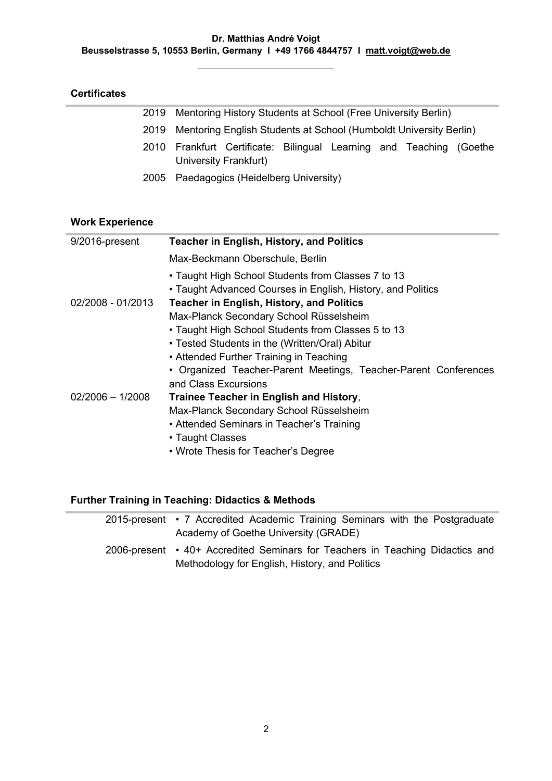| <b>Certificates</b> |  |
|---------------------|--|
|---------------------|--|

|  | 2019 Mentoring History Students at School (Free University Berlin)                           |  |  |
|--|----------------------------------------------------------------------------------------------|--|--|
|  | 2019 Mentoring English Students at School (Humboldt University Berlin)                       |  |  |
|  | 2010 Frankfurt Certificate: Bilingual Learning and Teaching (Goethe<br>University Frankfurt) |  |  |
|  | 2005 Paedagogics (Heidelberg University)                                                     |  |  |

## **Work Experience**

| 9/2016-present     | <b>Teacher in English, History, and Politics</b>                |
|--------------------|-----------------------------------------------------------------|
|                    | Max-Beckmann Oberschule, Berlin                                 |
|                    | • Taught High School Students from Classes 7 to 13              |
|                    | • Taught Advanced Courses in English, History, and Politics     |
| 02/2008 - 01/2013  | <b>Teacher in English, History, and Politics</b>                |
|                    | Max-Planck Secondary School Rüsselsheim                         |
|                    | • Taught High School Students from Classes 5 to 13              |
|                    | • Tested Students in the (Written/Oral) Abitur                  |
|                    | • Attended Further Training in Teaching                         |
|                    | • Organized Teacher-Parent Meetings, Teacher-Parent Conferences |
|                    | and Class Excursions                                            |
| $02/2006 - 1/2008$ | Trainee Teacher in English and History,                         |
|                    | Max-Planck Secondary School Rüsselsheim                         |
|                    | • Attended Seminars in Teacher's Training                       |
|                    | • Taught Classes                                                |
|                    | • Wrote Thesis for Teacher's Degree                             |

## **Further Training in Teaching: Didactics & Methods**

| 2015-present • 7 Accredited Academic Training Seminars with the Postgraduate  |
|-------------------------------------------------------------------------------|
| Academy of Goethe University (GRADE)                                          |
| 2006-present • 40+ Accredited Seminars for Teachers in Teaching Didactics and |
| Methodology for English, History, and Politics                                |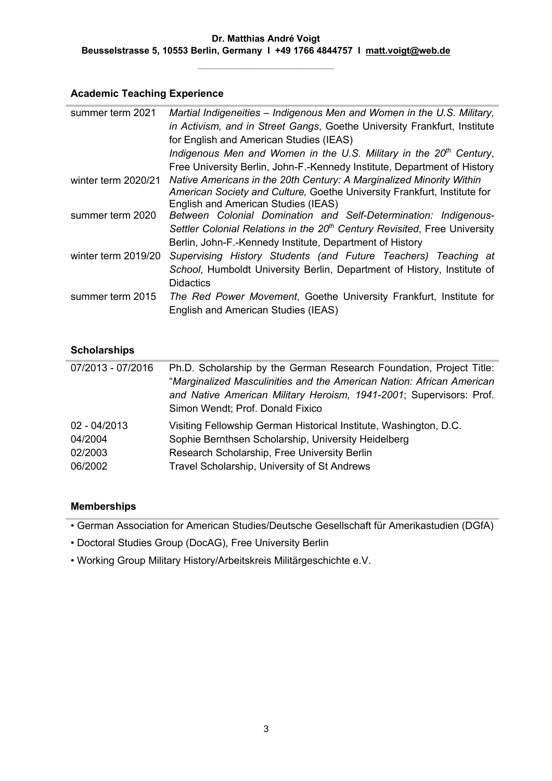**\_\_\_\_\_\_\_\_\_\_\_\_\_\_\_\_\_\_\_\_\_\_\_\_**

#### **Academic Teaching Experience**

| summer term 2021    | Martial Indigeneities – Indigenous Men and Women in the U.S. Military,<br>in Activism, and in Street Gangs, Goethe University Frankfurt, Institute<br>for English and American Studies (IEAS)                        |
|---------------------|----------------------------------------------------------------------------------------------------------------------------------------------------------------------------------------------------------------------|
|                     | Indigenous Men and Women in the U.S. Military in the 20 <sup>th</sup> Century,<br>Free University Berlin, John-F.-Kennedy Institute, Department of History                                                           |
| winter term 2020/21 | Native Americans in the 20th Century: A Marginalized Minority Within<br>American Society and Culture, Goethe University Frankfurt, Institute for<br>English and American Studies (IEAS)                              |
| summer term 2020    | Between Colonial Domination and Self-Determination: Indigenous-<br>Settler Colonial Relations in the 20 <sup>th</sup> Century Revisited, Free University<br>Berlin, John-F.-Kennedy Institute, Department of History |
| winter term 2019/20 | Supervising History Students (and Future Teachers) Teaching at<br>School, Humboldt University Berlin, Department of History, Institute of<br><b>Didactics</b>                                                        |
| summer term 2015    | The Red Power Movement, Goethe University Frankfurt, Institute for<br>English and American Studies (IEAS)                                                                                                            |

#### **Scholarships**

| 07/2013 - 07/2016 | Ph.D. Scholarship by the German Research Foundation, Project Title:<br>"Marginalized Masculinities and the American Nation: African American<br>and Native American Military Heroism, 1941-2001; Supervisors: Prof.<br>Simon Wendt; Prof. Donald Fixico |
|-------------------|---------------------------------------------------------------------------------------------------------------------------------------------------------------------------------------------------------------------------------------------------------|
| 02 - 04/2013      | Visiting Fellowship German Historical Institute, Washington, D.C.                                                                                                                                                                                       |
| 04/2004           | Sophie Bernthsen Scholarship, University Heidelberg                                                                                                                                                                                                     |
| 02/2003           | Research Scholarship, Free University Berlin                                                                                                                                                                                                            |
| 06/2002           | Travel Scholarship, University of St Andrews                                                                                                                                                                                                            |

## **Memberships**

• German Association for American Studies/Deutsche Gesellschaft für Amerikastudien (DGfA)

• Doctoral Studies Group (DocAG), Free University Berlin

• Working Group Military History/Arbeitskreis Militärgeschichte e.V.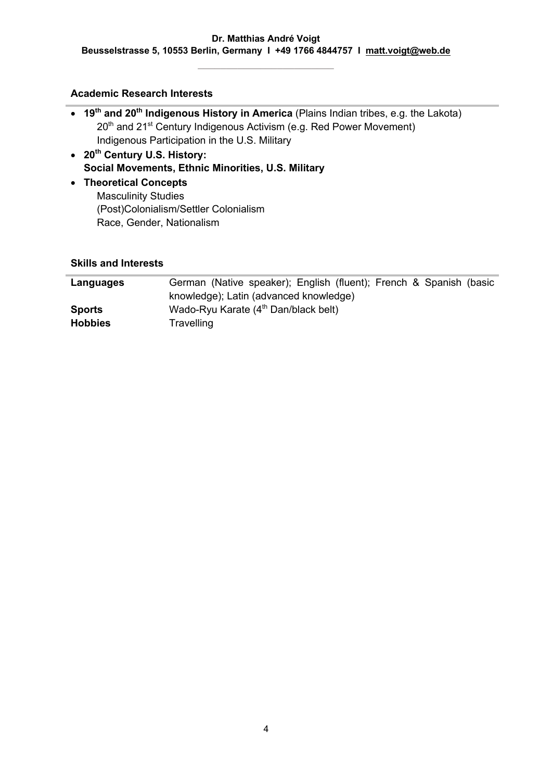**\_\_\_\_\_\_\_\_\_\_\_\_\_\_\_\_\_\_\_\_\_\_\_\_**

#### **Academic Research Interests**

- **19th and 20th Indigenous History in America** (Plains Indian tribes, e.g. the Lakota) 20<sup>th</sup> and 21<sup>st</sup> Century Indigenous Activism (e.g. Red Power Movement) Indigenous Participation in the U.S. Military
- **20th Century U.S. History: Social Movements, Ethnic Minorities, U.S. Military**
- **Theoretical Concepts**  Masculinity Studies (Post)Colonialism/Settler Colonialism Race, Gender, Nationalism

#### **Skills and Interests**

| Languages      | German (Native speaker); English (fluent); French & Spanish (basic |
|----------------|--------------------------------------------------------------------|
|                | knowledge); Latin (advanced knowledge)                             |
| <b>Sports</b>  | Wado-Ryu Karate (4 <sup>th</sup> Dan/black belt)                   |
| <b>Hobbies</b> | Travelling                                                         |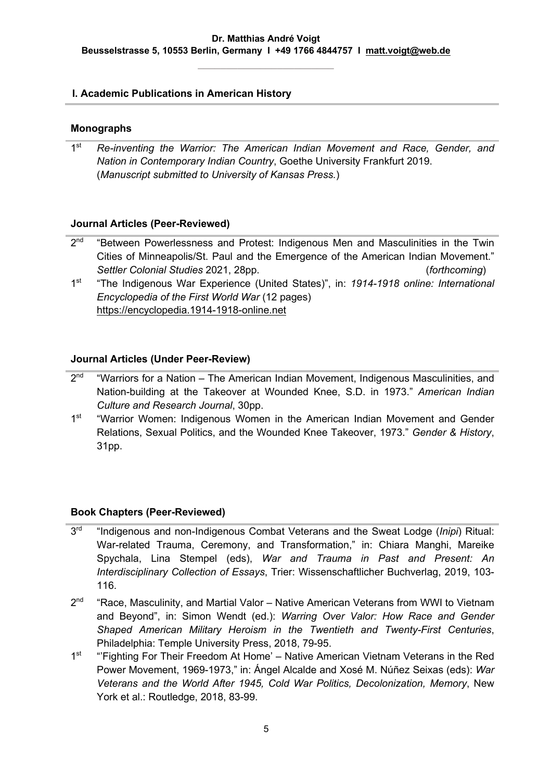#### **I. Academic Publications in American History**

#### **Monographs**

1st *Re-inventing the Warrior: The American Indian Movement and Race, Gender, and Nation in Contemporary Indian Country*, Goethe University Frankfurt 2019. (*Manuscript submitted to University of Kansas Press.*)

#### **Journal Articles (Peer-Reviewed)**

- $2<sup>nd</sup>$  "Between Powerlessness and Protest: Indigenous Men and Masculinities in the Twin Cities of Minneapolis/St. Paul and the Emergence of the American Indian Movement." *Settler Colonial Studies* 2021, 28pp. (*forthcoming*)
- 1st "The Indigenous War Experience (United States)", in: *1914-1918 online: International Encyclopedia of the First World War* (12 pages) https://encyclopedia.1914-1918-online.net

#### **Journal Articles (Under Peer-Review)**

- $2<sup>nd</sup>$  "Warriors for a Nation The American Indian Movement, Indigenous Masculinities, and Nation-building at the Takeover at Wounded Knee, S.D. in 1973." *American Indian Culture and Research Journal*, 30pp.
- 1<sup>st</sup> "Warrior Women: Indigenous Women in the American Indian Movement and Gender Relations, Sexual Politics, and the Wounded Knee Takeover, 1973." *Gender & History*, 31pp.

#### **Book Chapters (Peer-Reviewed)**

- 3rd "Indigenous and non-Indigenous Combat Veterans and the Sweat Lodge (*Inipi*) Ritual: War-related Trauma, Ceremony, and Transformation," in: Chiara Manghi, Mareike Spychala, Lina Stempel (eds), *War and Trauma in Past and Present: An Interdisciplinary Collection of Essays*, Trier: Wissenschaftlicher Buchverlag, 2019, 103- 116.
- $2<sup>nd</sup>$  "Race, Masculinity, and Martial Valor Native American Veterans from WWI to Vietnam and Beyond", in: Simon Wendt (ed.): *Warring Over Valor: How Race and Gender Shaped American Military Heroism in the Twentieth and Twenty-First Centuries*, Philadelphia: Temple University Press, 2018, 79-95.
- 1<sup>st</sup> "Fighting For Their Freedom At Home' Native American Vietnam Veterans in the Red Power Movement, 1969-1973," in: Ángel Alcalde and Xosé M. Núñez Seixas (eds): *War Veterans and the World After 1945, Cold War Politics, Decolonization, Memory*, New York et al.: Routledge, 2018, 83-99.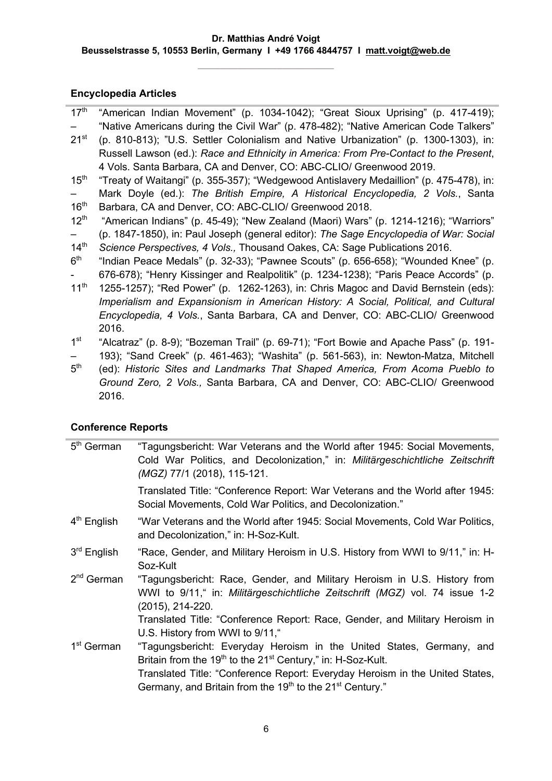**\_\_\_\_\_\_\_\_\_\_\_\_\_\_\_\_\_\_\_\_\_\_\_\_**

#### **Encyclopedia Articles**

| 17 <sup>th</sup> "American Indian Movement" (p. 1034-1042); "Great Sioux Uprising" (p. 417-419); |  |  |  |  |  |
|--------------------------------------------------------------------------------------------------|--|--|--|--|--|
| "Native Americans during the Civil War" (p. 478-482); "Native American Code Talkers"             |  |  |  |  |  |

- $21<sup>st</sup>$ (p. 810-813); "U.S. Settler Colonialism and Native Urbanization" (p. 1300-1303), in: Russell Lawson (ed.): *Race and Ethnicity in America: From Pre-Contact to the Present*, 4 Vols. Santa Barbara, CA and Denver, CO: ABC-CLIO/ Greenwood 2019.
- $15<sup>th</sup>$ – "Treaty of Waitangi" (p. 355-357); "Wedgewood Antislavery Medaillion" (p. 475-478), in: Mark Doyle (ed.): *The British Empire, A Historical Encyclopedia, 2 Vols.*, Santa
- $16<sup>th</sup>$ Barbara, CA and Denver, CO: ABC-CLIO/ Greenwood 2018.
- $12^{th}$ "American Indians" (p. 45-49); "New Zealand (Maori) Wars" (p. 1214-1216); "Warriors"
- (p. 1847-1850), in: Paul Joseph (general editor): *The Sage Encyclopedia of War: Social*
- $14<sup>th</sup>$ *Science Perspectives, 4 Vols.,* Thousand Oakes, CA: Sage Publications 2016.
- $6<sup>th</sup>$ - "Indian Peace Medals" (p. 32-33); "Pawnee Scouts" (p. 656-658); "Wounded Knee" (p. 676-678); "Henry Kissinger and Realpolitik" (p. 1234-1238); "Paris Peace Accords" (p.
- $11^{th}$ 1255-1257); "Red Power" (p. 1262-1263), in: Chris Magoc and David Bernstein (eds): *Imperialism and Expansionism in American History: A Social, Political, and Cultural Encyclopedia, 4 Vols.*, Santa Barbara, CA and Denver, CO: ABC-CLIO/ Greenwood 2016.
- 1st – "Alcatraz" (p. 8-9); "Bozeman Trail" (p. 69-71); "Fort Bowie and Apache Pass" (p. 191- 193); "Sand Creek" (p. 461-463); "Washita" (p. 561-563), in: Newton-Matza, Mitchell
- $5<sup>th</sup>$ (ed): *Historic Sites and Landmarks That Shaped America, From Acoma Pueblo to Ground Zero, 2 Vols.,* Santa Barbara, CA and Denver, CO: ABC-CLIO/ Greenwood 2016.

## **Conference Reports**

| $5th$ German           | "Tagungsbericht: War Veterans and the World after 1945: Social Movements,<br>Cold War Politics, and Decolonization," in: Militärgeschichtliche Zeitschrift<br>(MGZ) 77/1 (2018), 115-121. |
|------------------------|-------------------------------------------------------------------------------------------------------------------------------------------------------------------------------------------|
|                        | Translated Title: "Conference Report: War Veterans and the World after 1945:<br>Social Movements, Cold War Politics, and Decolonization."                                                 |
| $4th$ English          | "War Veterans and the World after 1945: Social Movements, Cold War Politics,<br>and Decolonization," in: H-Soz-Kult.                                                                      |
| $3rd$ English          | "Race, Gender, and Military Heroism in U.S. History from WWI to 9/11," in: H-<br>Soz-Kult                                                                                                 |
| $2nd$ German           | "Tagungsbericht: Race, Gender, and Military Heroism in U.S. History from<br>WWI to 9/11," in: Militärgeschichtliche Zeitschrift (MGZ) vol. 74 issue 1-2<br>(2015), 214-220.               |
|                        | Translated Title: "Conference Report: Race, Gender, and Military Heroism in<br>U.S. History from WWI to 9/11,"                                                                            |
| 1 <sup>st</sup> German | "Tagungsbericht: Everyday Heroism in the United States, Germany, and<br>Britain from the 19 <sup>th</sup> to the 21 <sup>st</sup> Century," in: H-Soz-Kult.                               |
|                        | Translated Title: "Conference Report: Everyday Heroism in the United States,<br>Germany, and Britain from the 19 <sup>th</sup> to the 21 <sup>st</sup> Century."                          |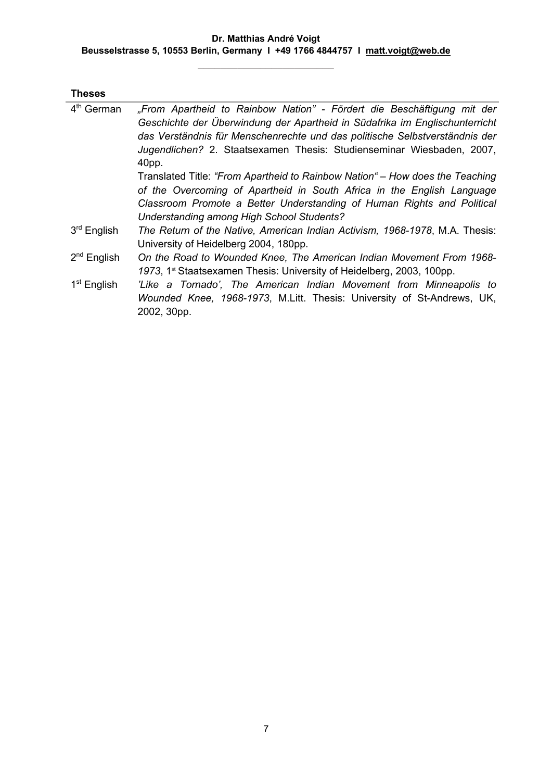**\_\_\_\_\_\_\_\_\_\_\_\_\_\_\_\_\_\_\_\_\_\_\_\_**

| "From Apartheid to Rainbow Nation" - Fördert die Beschäftigung mit der<br>Geschichte der Überwindung der Apartheid in Südafrika im Englischunterricht<br>das Verständnis für Menschenrechte und das politische Selbstverständnis der<br>Jugendlichen? 2. Staatsexamen Thesis: Studienseminar Wiesbaden, 2007,<br>40pp. |
|------------------------------------------------------------------------------------------------------------------------------------------------------------------------------------------------------------------------------------------------------------------------------------------------------------------------|
| Translated Title: "From Apartheid to Rainbow Nation" – How does the Teaching<br>of the Overcoming of Apartheid in South Africa in the English Language<br>Classroom Promote a Better Understanding of Human Rights and Political                                                                                       |
| Understanding among High School Students?                                                                                                                                                                                                                                                                              |
| The Return of the Native, American Indian Activism, 1968-1978, M.A. Thesis:<br>University of Heidelberg 2004, 180pp.                                                                                                                                                                                                   |
| On the Road to Wounded Knee, The American Indian Movement From 1968-<br>1973, 1 <sup>st</sup> Staatsexamen Thesis: University of Heidelberg, 2003, 100pp.                                                                                                                                                              |
| 'Like a Tornado', The American Indian Movement from Minneapolis to<br>Wounded Knee, 1968-1973, M.Litt. Thesis: University of St-Andrews, UK,<br>2002, 30pp.                                                                                                                                                            |
|                                                                                                                                                                                                                                                                                                                        |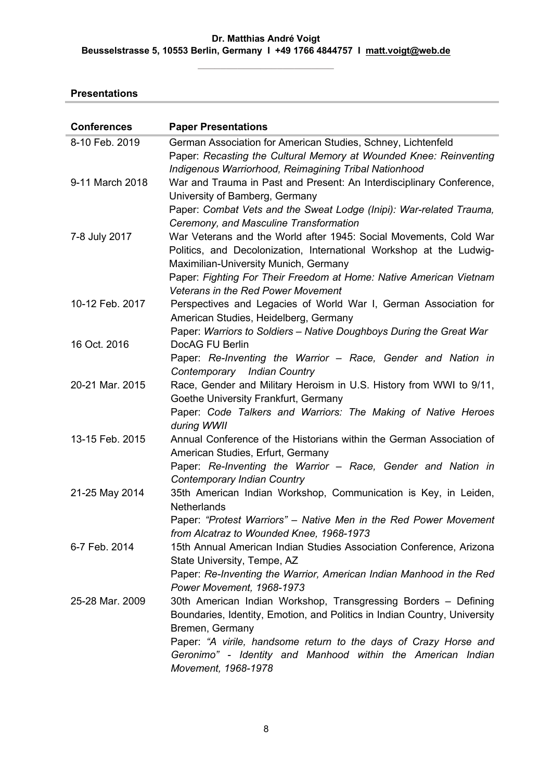**\_\_\_\_\_\_\_\_\_\_\_\_\_\_\_\_\_\_\_\_\_\_\_\_**

## **Presentations**

| <b>Conferences</b> | <b>Paper Presentations</b>                                                                                                                                                                                                                                                                        |
|--------------------|---------------------------------------------------------------------------------------------------------------------------------------------------------------------------------------------------------------------------------------------------------------------------------------------------|
| 8-10 Feb. 2019     | German Association for American Studies, Schney, Lichtenfeld<br>Paper: Recasting the Cultural Memory at Wounded Knee: Reinventing<br>Indigenous Warriorhood, Reimagining Tribal Nationhood                                                                                                        |
| 9-11 March 2018    | War and Trauma in Past and Present: An Interdisciplinary Conference,<br>University of Bamberg, Germany<br>Paper: Combat Vets and the Sweat Lodge (Inipi): War-related Trauma,                                                                                                                     |
| 7-8 July 2017      | Ceremony, and Masculine Transformation<br>War Veterans and the World after 1945: Social Movements, Cold War<br>Politics, and Decolonization, International Workshop at the Ludwig-<br>Maximilian-University Munich, Germany<br>Paper: Fighting For Their Freedom at Home: Native American Vietnam |
| 10-12 Feb. 2017    | Veterans in the Red Power Movement<br>Perspectives and Legacies of World War I, German Association for<br>American Studies, Heidelberg, Germany                                                                                                                                                   |
| 16 Oct. 2016       | Paper: Warriors to Soldiers - Native Doughboys During the Great War<br>DocAG FU Berlin<br>Paper: Re-Inventing the Warrior – Race, Gender and Nation in                                                                                                                                            |
| 20-21 Mar. 2015    | Contemporary Indian Country<br>Race, Gender and Military Heroism in U.S. History from WWI to 9/11,<br>Goethe University Frankfurt, Germany<br>Paper: Code Talkers and Warriors: The Making of Native Heroes                                                                                       |
| 13-15 Feb. 2015    | during WWII<br>Annual Conference of the Historians within the German Association of<br>American Studies, Erfurt, Germany<br>Paper: Re-Inventing the Warrior - Race, Gender and Nation in                                                                                                          |
| 21-25 May 2014     | Contemporary Indian Country<br>35th American Indian Workshop, Communication is Key, in Leiden,<br><b>Netherlands</b>                                                                                                                                                                              |
| 6-7 Feb. 2014      | Paper: "Protest Warriors" - Native Men in the Red Power Movement<br>from Alcatraz to Wounded Knee, 1968-1973<br>15th Annual American Indian Studies Association Conference, Arizona<br>State University, Tempe, AZ                                                                                |
|                    | Paper: Re-Inventing the Warrior, American Indian Manhood in the Red<br>Power Movement, 1968-1973                                                                                                                                                                                                  |
| 25-28 Mar. 2009    | 30th American Indian Workshop, Transgressing Borders - Defining<br>Boundaries, Identity, Emotion, and Politics in Indian Country, University<br>Bremen, Germany<br>Paper: "A virile, handsome return to the days of Crazy Horse and                                                               |
|                    | Geronimo" - Identity and Manhood within the American Indian<br>Movement, 1968-1978                                                                                                                                                                                                                |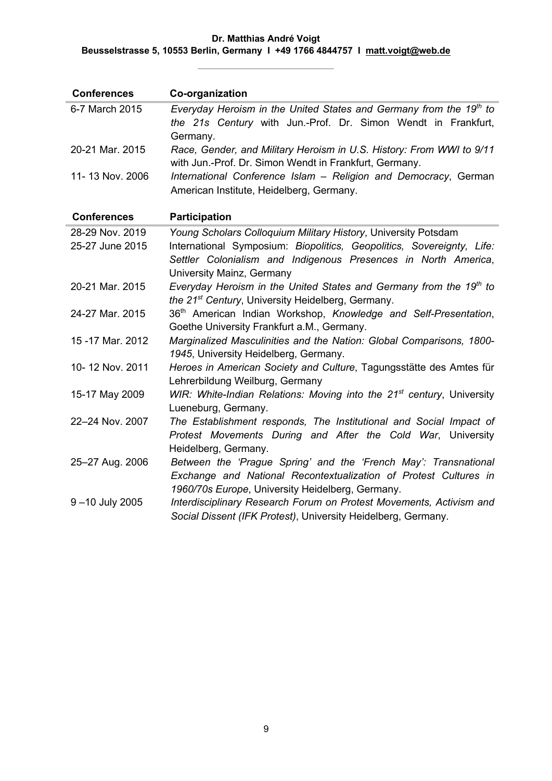**\_\_\_\_\_\_\_\_\_\_\_\_\_\_\_\_\_\_\_\_\_\_\_\_**

| <b>Conferences</b> | Co-organization                                                                                                                                                                         |
|--------------------|-----------------------------------------------------------------------------------------------------------------------------------------------------------------------------------------|
| 6-7 March 2015     | Everyday Heroism in the United States and Germany from the 19 <sup>th</sup> to<br>the 21s Century with Jun.-Prof. Dr. Simon Wendt in Frankfurt,<br>Germany.                             |
| 20-21 Mar. 2015    | Race, Gender, and Military Heroism in U.S. History: From WWI to 9/11<br>with Jun.-Prof. Dr. Simon Wendt in Frankfurt, Germany.                                                          |
| 11-13 Nov. 2006    | International Conference Islam - Religion and Democracy, German<br>American Institute, Heidelberg, Germany.                                                                             |
| <b>Conferences</b> | <b>Participation</b>                                                                                                                                                                    |
| 28-29 Nov. 2019    | Young Scholars Colloquium Military History, University Potsdam                                                                                                                          |
| 25-27 June 2015    | International Symposium: Biopolitics, Geopolitics, Sovereignty, Life:<br>Settler Colonialism and Indigenous Presences in North America,<br>University Mainz, Germany                    |
| 20-21 Mar. 2015    | Everyday Heroism in the United States and Germany from the 19 <sup>th</sup> to<br>the 21 <sup>st</sup> Century, University Heidelberg, Germany.                                         |
| 24-27 Mar. 2015    | 36 <sup>th</sup> American Indian Workshop, Knowledge and Self-Presentation,<br>Goethe University Frankfurt a.M., Germany.                                                               |
| 15 - 17 Mar. 2012  | Marginalized Masculinities and the Nation: Global Comparisons, 1800-<br>1945, University Heidelberg, Germany.                                                                           |
| 10-12 Nov. 2011    | Heroes in American Society and Culture, Tagungsstätte des Amtes für<br>Lehrerbildung Weilburg, Germany                                                                                  |
| 15-17 May 2009     | WIR: White-Indian Relations: Moving into the 21 <sup>st</sup> century, University<br>Lueneburg, Germany.                                                                                |
| 22-24 Nov. 2007    | The Establishment responds, The Institutional and Social Impact of<br>Protest Movements During and After the Cold War, University<br>Heidelberg, Germany.                               |
| 25-27 Aug. 2006    | Between the 'Prague Spring' and the 'French May': Transnational<br>Exchange and National Recontextualization of Protest Cultures in<br>1960/70s Europe, University Heidelberg, Germany. |
| 9-10 July 2005     | Interdisciplinary Research Forum on Protest Movements, Activism and<br>Social Dissent (IFK Protest), University Heidelberg, Germany.                                                    |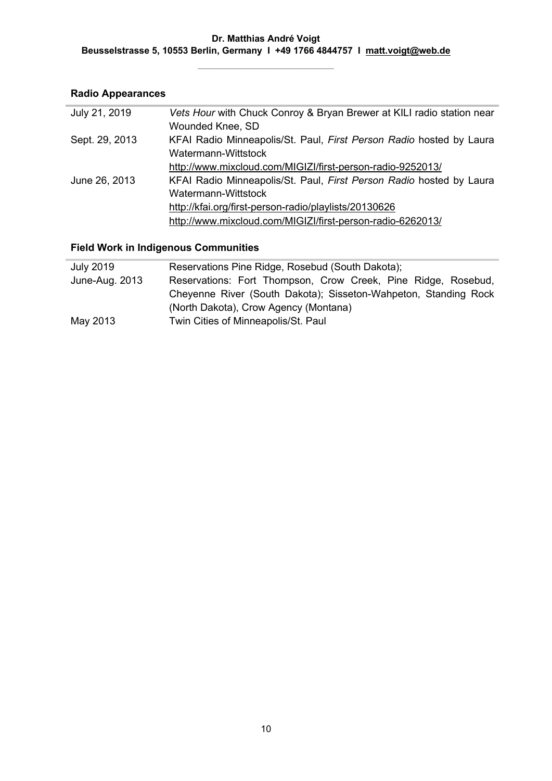## **Radio Appearances**

| July 21, 2019  | Vets Hour with Chuck Conroy & Bryan Brewer at KILI radio station near<br>Wounded Knee, SD |
|----------------|-------------------------------------------------------------------------------------------|
| Sept. 29, 2013 | KFAI Radio Minneapolis/St. Paul, First Person Radio hosted by Laura                       |
|                | Watermann-Wittstock                                                                       |
|                | http://www.mixcloud.com/MIGIZI/first-person-radio-9252013/                                |
| June 26, 2013  | KFAI Radio Minneapolis/St. Paul, First Person Radio hosted by Laura                       |
|                | Watermann-Wittstock                                                                       |
|                | http://kfai.org/first-person-radio/playlists/20130626                                     |
|                | http://www.mixcloud.com/MIGIZI/first-person-radio-6262013/                                |

## **Field Work in Indigenous Communities**

| <b>July 2019</b> | Reservations Pine Ridge, Rosebud (South Dakota);                |
|------------------|-----------------------------------------------------------------|
| June-Aug. 2013   | Reservations: Fort Thompson, Crow Creek, Pine Ridge, Rosebud,   |
|                  | Cheyenne River (South Dakota); Sisseton-Wahpeton, Standing Rock |
|                  | (North Dakota), Crow Agency (Montana)                           |
| May 2013         | Twin Cities of Minneapolis/St. Paul                             |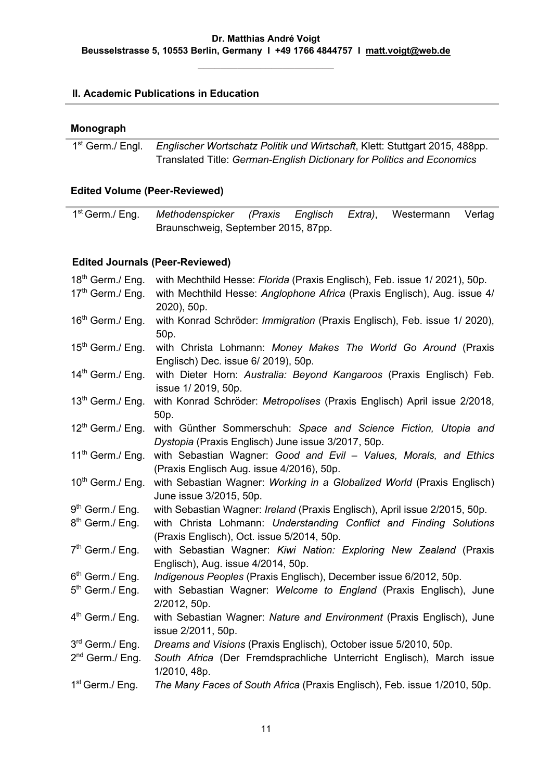**\_\_\_\_\_\_\_\_\_\_\_\_\_\_\_\_\_\_\_\_\_\_\_\_**

## **II. Academic Publications in Education**

#### **Monograph**

1st Germ./ Engl. *Englischer Wortschatz Politik und Wirtschaft*, Klett: Stuttgart 2015, 488pp. Translated Title: *German-English Dictionary for Politics and Economics*

#### **Edited Volume (Peer-Reviewed)**

| 1 <sup>st</sup> Germ./ Eng. Methodenspicker (Praxis Englisch Extra), Westermann Verlag |  |  |  |  |
|----------------------------------------------------------------------------------------|--|--|--|--|
| Braunschweig, September 2015, 87pp.                                                    |  |  |  |  |

## **Edited Journals (Peer-Reviewed)**

| $18th$ Germ./ Eng.                   | with Mechthild Hesse: Florida (Praxis Englisch), Feb. issue 1/2021), 50p.                                                                                |
|--------------------------------------|----------------------------------------------------------------------------------------------------------------------------------------------------------|
| 17th Germ./ Eng.                     | with Mechthild Hesse: Anglophone Africa (Praxis Englisch), Aug. issue 4/<br>2020), 50p.                                                                  |
| 16 <sup>th</sup> Germ./ Eng.         | with Konrad Schröder: Immigration (Praxis Englisch), Feb. issue 1/ 2020),<br>50p.                                                                        |
| $15th$ Germ./ Eng.                   | with Christa Lohmann: Money Makes The World Go Around (Praxis<br>Englisch) Dec. issue 6/ 2019), 50p.                                                     |
| $14th$ Germ./ Eng.                   | with Dieter Horn: Australia: Beyond Kangaroos (Praxis Englisch) Feb.<br>issue 1/2019, 50p.                                                               |
| 13 <sup>th</sup> Germ./ Eng.         | with Konrad Schröder: Metropolises (Praxis Englisch) April issue 2/2018,<br>50p.                                                                         |
| $12^{th}$ Germ./ Eng.                | with Günther Sommerschuh: Space and Science Fiction, Utopia and<br>Dystopia (Praxis Englisch) June issue 3/2017, 50p.                                    |
| 11 <sup>th</sup> Germ./ Eng.         | with Sebastian Wagner: Good and Evil - Values, Morals, and Ethics<br>(Praxis Englisch Aug. issue 4/2016), 50p.                                           |
| 10 <sup>th</sup> Germ./ Eng.         | with Sebastian Wagner: Working in a Globalized World (Praxis Englisch)<br>June issue 3/2015, 50p.                                                        |
| 9 <sup>th</sup> Germ./ Eng.          | with Sebastian Wagner: Ireland (Praxis Englisch), April issue 2/2015, 50p.                                                                               |
| 8 <sup>th</sup> Germ./ Eng.          | with Christa Lohmann: Understanding Conflict and Finding Solutions<br>(Praxis Englisch), Oct. issue 5/2014, 50p.                                         |
| 7 <sup>th</sup> Germ./ Eng.          | with Sebastian Wagner: Kiwi Nation: Exploring New Zealand (Praxis<br>Englisch), Aug. issue 4/2014, 50p.                                                  |
| 6 <sup>th</sup> Germ./ Eng.          | Indigenous Peoples (Praxis Englisch), December issue 6/2012, 50p.                                                                                        |
| 5 <sup>th</sup> Germ./ Eng.          | with Sebastian Wagner: Welcome to England (Praxis Englisch), June<br>2/2012, 50p.                                                                        |
| $4th$ Germ./ Eng.                    | with Sebastian Wagner: Nature and Environment (Praxis Englisch), June<br>issue 2/2011, 50p.                                                              |
| 3rd Germ./ Eng.<br>$2nd$ Germ./ Eng. | Dreams and Visions (Praxis Englisch), October issue 5/2010, 50p.<br>South Africa (Der Fremdsprachliche Unterricht Englisch), March issue<br>1/2010, 48p. |
| 1 <sup>st</sup> Germ./ Eng.          | The Many Faces of South Africa (Praxis Englisch), Feb. issue 1/2010, 50p.                                                                                |
|                                      |                                                                                                                                                          |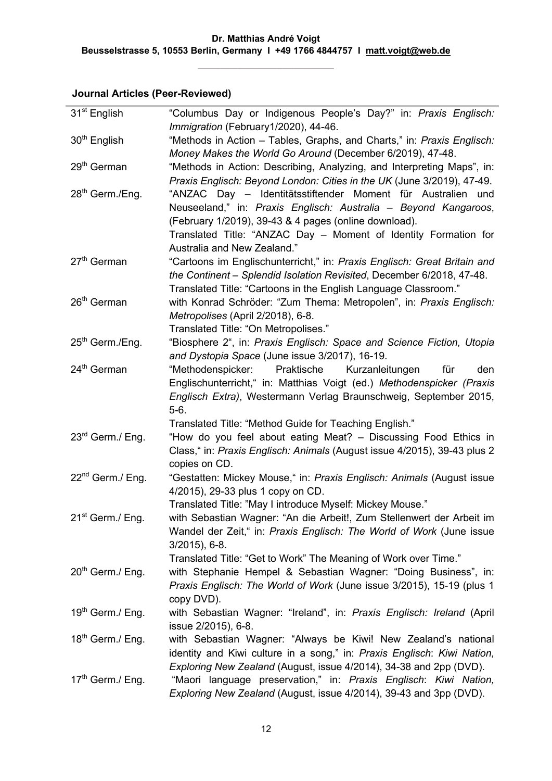## **Journal Articles (Peer-Reviewed)**

| 31 <sup>st</sup> English     | "Columbus Day or Indigenous People's Day?" in: Praxis Englisch:<br>Immigration (February1/2020), 44-46.  |
|------------------------------|----------------------------------------------------------------------------------------------------------|
| 30 <sup>th</sup> English     | "Methods in Action - Tables, Graphs, and Charts," in: Praxis Englisch:                                   |
|                              | Money Makes the World Go Around (December 6/2019), 47-48.                                                |
| 29 <sup>th</sup> German      | "Methods in Action: Describing, Analyzing, and Interpreting Maps", in:                                   |
|                              | Praxis Englisch: Beyond London: Cities in the UK (June 3/2019), 47-49.                                   |
| 28 <sup>th</sup> Germ./Eng.  | "ANZAC Day - Identitätsstiftender Moment für Australien<br>und                                           |
|                              | Neuseeland," in: Praxis Englisch: Australia - Beyond Kangaroos,                                          |
|                              | (February 1/2019), 39-43 & 4 pages (online download).                                                    |
|                              | Translated Title: "ANZAC Day - Moment of Identity Formation for                                          |
|                              | Australia and New Zealand."                                                                              |
| 27 <sup>th</sup> German      | "Cartoons im Englischunterricht," in: Praxis Englisch: Great Britain and                                 |
|                              | the Continent - Splendid Isolation Revisited, December 6/2018, 47-48.                                    |
| 26 <sup>th</sup> German      | Translated Title: "Cartoons in the English Language Classroom."                                          |
|                              | with Konrad Schröder: "Zum Thema: Metropolen", in: Praxis Englisch:<br>Metropolises (April 2/2018), 6-8. |
|                              | Translated Title: "On Metropolises."                                                                     |
| 25 <sup>th</sup> Germ./Eng.  | "Biosphere 2", in: Praxis Englisch: Space and Science Fiction, Utopia                                    |
|                              | and Dystopia Space (June issue 3/2017), 16-19.                                                           |
| 24 <sup>th</sup> German      | "Methodenspicker:<br>Praktische<br>den<br>Kurzanleitungen<br>für                                         |
|                              | Englischunterricht," in: Matthias Voigt (ed.) Methodenspicker (Praxis                                    |
|                              | Englisch Extra), Westermann Verlag Braunschweig, September 2015,                                         |
|                              | $5-6.$                                                                                                   |
|                              | Translated Title: "Method Guide for Teaching English."                                                   |
| 23 <sup>rd</sup> Germ./ Eng. | "How do you feel about eating Meat? - Discussing Food Ethics in                                          |
|                              | Class," in: Praxis Englisch: Animals (August issue 4/2015), 39-43 plus 2                                 |
| 22 <sup>nd</sup> Germ./ Eng. | copies on CD.<br>"Gestatten: Mickey Mouse," in: Praxis Englisch: Animals (August issue                   |
|                              | 4/2015), 29-33 plus 1 copy on CD.                                                                        |
|                              | Translated Title: "May I introduce Myself: Mickey Mouse."                                                |
| 21 <sup>st</sup> Germ./ Eng. | with Sebastian Wagner: "An die Arbeit!, Zum Stellenwert der Arbeit im                                    |
|                              | Wandel der Zeit," in: Praxis Englisch: The World of Work (June issue                                     |
|                              | $3/2015$ , 6-8.                                                                                          |
|                              | Translated Title: "Get to Work" The Meaning of Work over Time."                                          |
| $20th$ Germ./ Eng.           | with Stephanie Hempel & Sebastian Wagner: "Doing Business", in:                                          |
|                              | Praxis Englisch: The World of Work (June issue 3/2015), 15-19 (plus 1                                    |
|                              | copy DVD).                                                                                               |
| 19th Germ./ Eng.             | with Sebastian Wagner: "Ireland", in: Praxis Englisch: Ireland (April<br>issue 2/2015), 6-8.             |
| $18th$ Germ./ Eng.           | with Sebastian Wagner: "Always be Kiwi! New Zealand's national                                           |
|                              | identity and Kiwi culture in a song," in: Praxis Englisch: Kiwi Nation,                                  |
|                              | Exploring New Zealand (August, issue 4/2014), 34-38 and 2pp (DVD).                                       |
| $17th$ Germ./ Eng.           | "Maori language preservation," in: Praxis Englisch: Kiwi Nation,                                         |
|                              | Exploring New Zealand (August, issue 4/2014), 39-43 and 3pp (DVD).                                       |